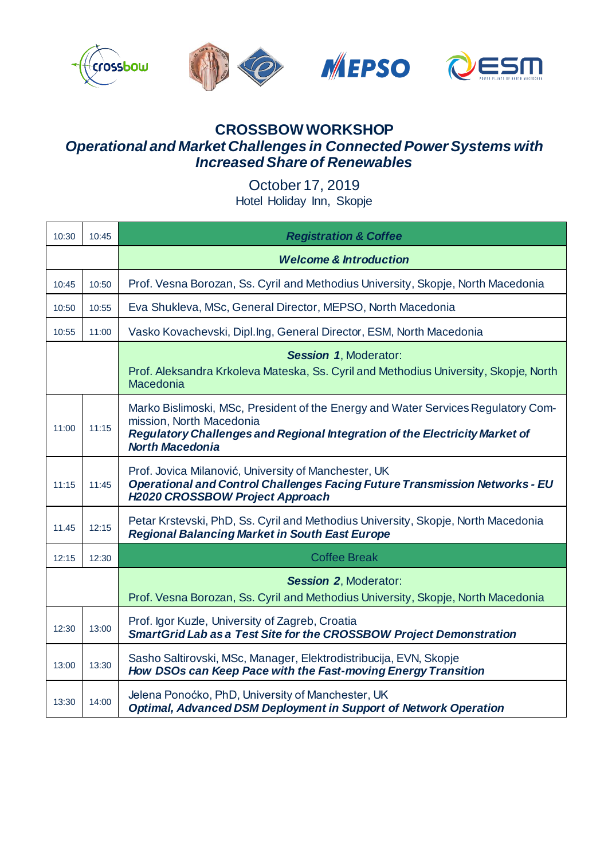

## **CROSSBOW WORKSHOP**  *Operational and Market Challenges in Connected Power Systems with Increased Share of Renewables*

October 17, 2019 Hotel Holiday Inn, Skopje

| 10:30 | 10:45 | <b>Registration &amp; Coffee</b>                                                                                                                                                                                       |
|-------|-------|------------------------------------------------------------------------------------------------------------------------------------------------------------------------------------------------------------------------|
|       |       | <b>Welcome &amp; Introduction</b>                                                                                                                                                                                      |
| 10:45 | 10:50 | Prof. Vesna Borozan, Ss. Cyril and Methodius University, Skopje, North Macedonia                                                                                                                                       |
| 10:50 | 10:55 | Eva Shukleva, MSc, General Director, MEPSO, North Macedonia                                                                                                                                                            |
| 10:55 | 11:00 | Vasko Kovachevski, Dipl.Ing, General Director, ESM, North Macedonia                                                                                                                                                    |
|       |       | <b>Session 1, Moderator:</b><br>Prof. Aleksandra Krkoleva Mateska, Ss. Cyril and Methodius University, Skopje, North<br>Macedonia                                                                                      |
| 11:00 | 11:15 | Marko Bislimoski, MSc, President of the Energy and Water Services Regulatory Com-<br>mission, North Macedonia<br>Regulatory Challenges and Regional Integration of the Electricity Market of<br><b>North Macedonia</b> |
| 11:15 | 11:45 | Prof. Jovica Milanović, University of Manchester, UK<br>Operational and Control Challenges Facing Future Transmission Networks - EU<br><b>H2020 CROSSBOW Project Approach</b>                                          |
| 11.45 | 12:15 | Petar Krstevski, PhD, Ss. Cyril and Methodius University, Skopje, North Macedonia<br><b>Regional Balancing Market in South East Europe</b>                                                                             |
| 12:15 | 12:30 | <b>Coffee Break</b>                                                                                                                                                                                                    |
|       |       | <b>Session 2, Moderator:</b><br>Prof. Vesna Borozan, Ss. Cyril and Methodius University, Skopje, North Macedonia                                                                                                       |
| 12:30 | 13:00 | Prof. Igor Kuzle, University of Zagreb, Croatia<br><b>SmartGrid Lab as a Test Site for the CROSSBOW Project Demonstration</b>                                                                                          |
| 13:00 | 13:30 | Sasho Saltirovski, MSc, Manager, Elektrodistribucija, EVN, Skopje<br>How DSOs can Keep Pace with the Fast-moving Energy Transition                                                                                     |
| 13:30 | 14:00 | Jelena Ponoćko, PhD, University of Manchester, UK<br><b>Optimal, Advanced DSM Deployment in Support of Network Operation</b>                                                                                           |